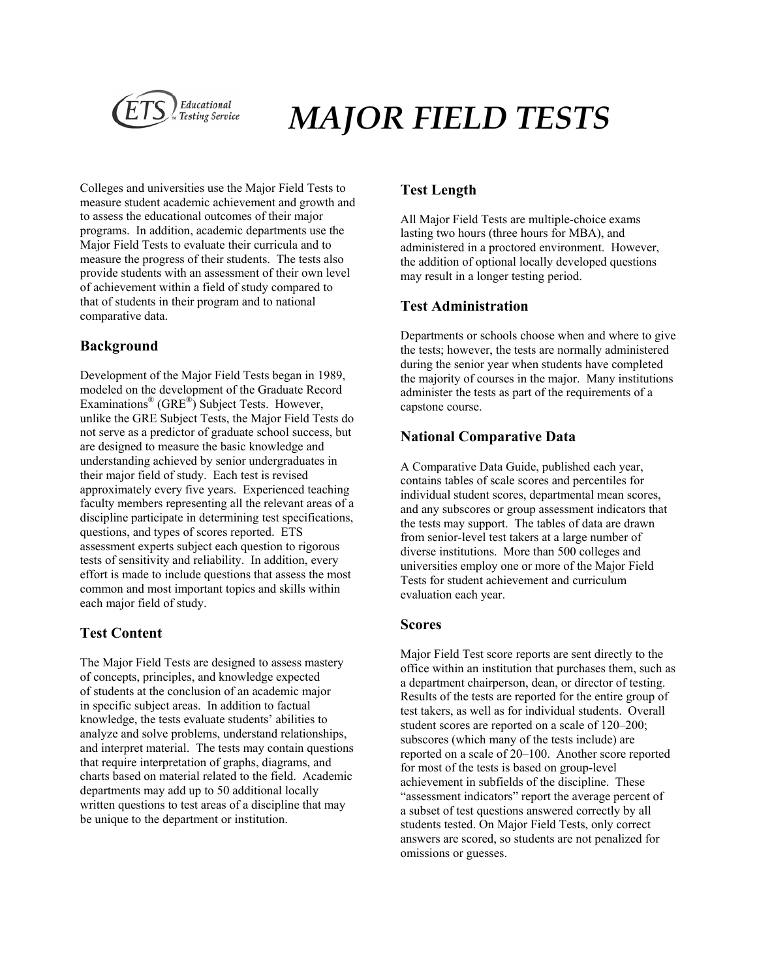

# *MAJOR FIELD TESTS*

Colleges and universities use the Major Field Tests to measure student academic achievement and growth and to assess the educational outcomes of their major programs. In addition, academic departments use the Major Field Tests to evaluate their curricula and to measure the progress of their students. The tests also provide students with an assessment of their own level of achievement within a field of study compared to that of students in their program and to national comparative data.

## **Background**

Development of the Major Field Tests began in 1989, modeled on the development of the Graduate Record Examinations<sup>®</sup> (GRE<sup>®</sup>) Subject Tests. However, unlike the GRE Subject Tests, the Major Field Tests do not serve as a predictor of graduate school success, but are designed to measure the basic knowledge and understanding achieved by senior undergraduates in their major field of study. Each test is revised approximately every five years. Experienced teaching faculty members representing all the relevant areas of a discipline participate in determining test specifications, questions, and types of scores reported. ETS assessment experts subject each question to rigorous tests of sensitivity and reliability. In addition, every effort is made to include questions that assess the most common and most important topics and skills within each major field of study.

# **Test Content**

The Major Field Tests are designed to assess mastery of concepts, principles, and knowledge expected of students at the conclusion of an academic major in specific subject areas. In addition to factual knowledge, the tests evaluate students' abilities to analyze and solve problems, understand relationships, and interpret material. The tests may contain questions that require interpretation of graphs, diagrams, and charts based on material related to the field. Academic departments may add up to 50 additional locally written questions to test areas of a discipline that may be unique to the department or institution.

# **Test Length**

All Major Field Tests are multiple-choice exams lasting two hours (three hours for MBA), and administered in a proctored environment. However, the addition of optional locally developed questions may result in a longer testing period.

# **Test Administration**

Departments or schools choose when and where to give the tests; however, the tests are normally administered during the senior year when students have completed the majority of courses in the major. Many institutions administer the tests as part of the requirements of a capstone course.

# **National Comparative Data**

A Comparative Data Guide, published each year, contains tables of scale scores and percentiles for individual student scores, departmental mean scores, and any subscores or group assessment indicators that the tests may support. The tables of data are drawn from senior-level test takers at a large number of diverse institutions. More than 500 colleges and universities employ one or more of the Major Field Tests for student achievement and curriculum evaluation each year.

### **Scores**

Major Field Test score reports are sent directly to the office within an institution that purchases them, such as a department chairperson, dean, or director of testing. Results of the tests are reported for the entire group of test takers, as well as for individual students. Overall student scores are reported on a scale of 120–200; subscores (which many of the tests include) are reported on a scale of 20–100. Another score reported for most of the tests is based on group-level achievement in subfields of the discipline. These "assessment indicators" report the average percent of a subset of test questions answered correctly by all students tested. On Major Field Tests, only correct answers are scored, so students are not penalized for omissions or guesses.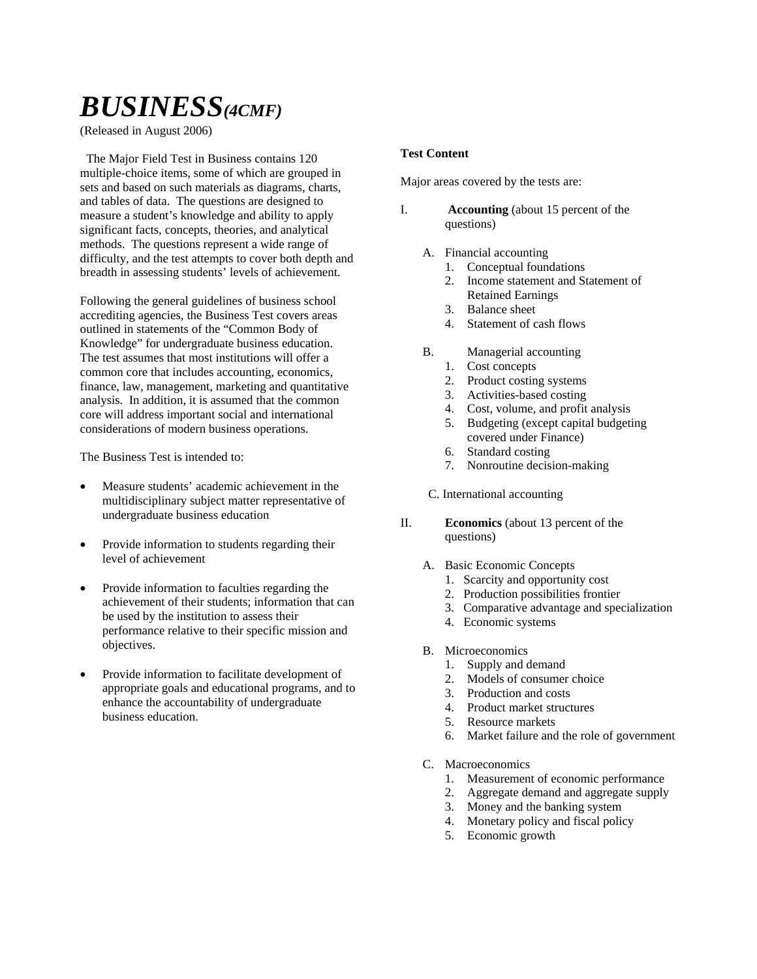# *BUSINESS(4CMF)*

(Released in August 2006)

 The Major Field Test in Business contains 120 multiple-choice items, some of which are grouped in sets and based on such materials as diagrams, charts, and tables of data. The questions are designed to measure a student's knowledge and ability to apply significant facts, concepts, theories, and analytical methods. The questions represent a wide range of difficulty, and the test attempts to cover both depth and breadth in assessing students' levels of achievement.

Following the general guidelines of business school accrediting agencies, the Business Test covers areas outlined in statements of the "Common Body of Knowledge" for undergraduate business education. The test assumes that most institutions will offer a common core that includes accounting, economics, finance, law, management, marketing and quantitative analysis. In addition, it is assumed that the common core will address important social and international considerations of modern business operations.

The Business Test is intended to:

- Measure students' academic achievement in the multidisciplinary subject matter representative of undergraduate business education
- Provide information to students regarding their level of achievement
- Provide information to faculties regarding the achievement of their students; information that can be used by the institution to assess their performance relative to their specific mission and objectives.
- Provide information to facilitate development of appropriate goals and educational programs, and to enhance the accountability of undergraduate business education.

### **Test Content**

Major areas covered by the tests are:

- I. **Accounting** (about 15 percent of the questions)
	- A. Financial accounting
		- 1. Conceptual foundations
		- 2. Income statement and Statement of Retained Earnings
		- 3. Balance sheet
		- 4. Statement of cash flows
	- B. Managerial accounting
		- 1. Cost concepts
		- 2. Product costing systems
		- 3. Activities-based costing
		- 4. Cost, volume, and profit analysis<br>5. Budgeting (except capital budgeting)
		- 5. Budgeting (except capital budgeting covered under Finance)
		- 6. Standard costing
		- 7. Nonroutine decision-making
	- C. International accounting
- II. **Economics** (about 13 percent of the questions)
	- A. Basic Economic Concepts
		- 1. Scarcity and opportunity cost
		- 2. Production possibilities frontier
		- 3. Comparative advantage and specialization
		- 4. Economic systems
	- B. Microeconomics
		- 1. Supply and demand
		- 2. Models of consumer choice
		- 3. Production and costs
		- 4. Product market structures
		- 5. Resource markets
		- 6. Market failure and the role of government
	- C. Macroeconomics
		- 1. Measurement of economic performance
		- 2. Aggregate demand and aggregate supply
		- 3. Money and the banking system
		- 4. Monetary policy and fiscal policy
		- 5. Economic growth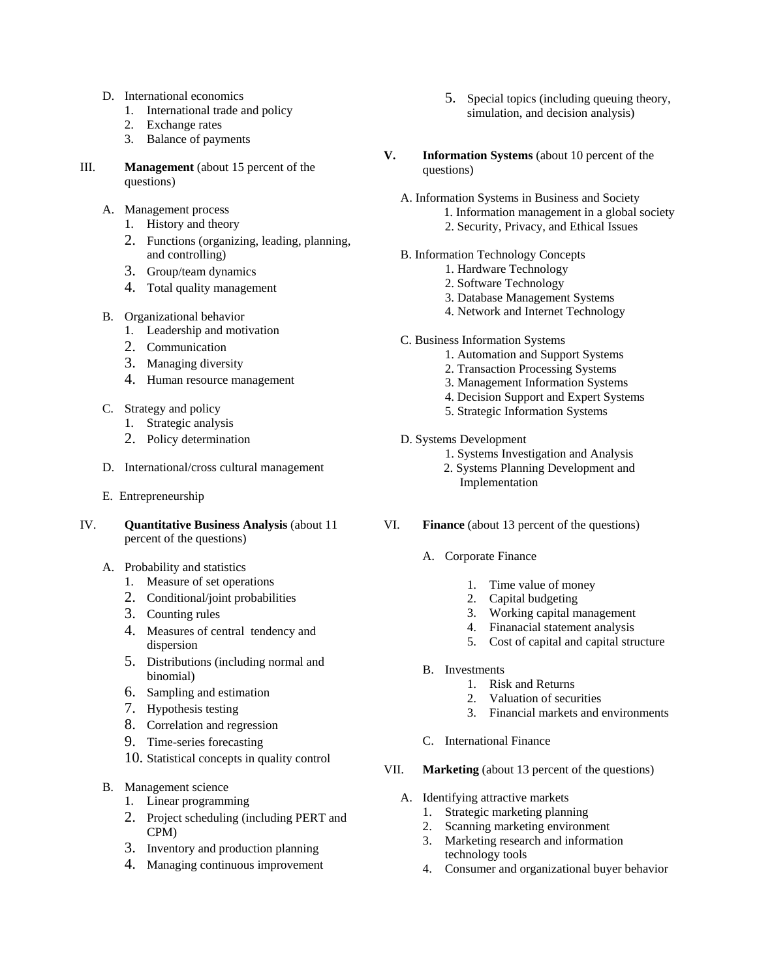- D. International economics
	- 1. International trade and policy
	- 2. Exchange rates
	- 3. Balance of payments
- III. **Management** (about 15 percent of the questions)
	- A. Management process
		- 1. History and theory
		- 2. Functions (organizing, leading, planning, and controlling)
		- 3. Group/team dynamics
		- 4. Total quality management
	- B. Organizational behavior
		- 1. Leadership and motivation
		- 2. Communication
		- 3. Managing diversity
		- 4. Human resource management
	- C. Strategy and policy
		- 1. Strategic analysis
		- 2. Policy determination
	- D. International/cross cultural management
	- E. Entrepreneurship
- IV. **Quantitative Business Analysis** (about 11 percent of the questions)
	- A. Probability and statistics
		- 1. Measure of set operations
		- 2. Conditional/joint probabilities
		- 3. Counting rules
		- 4. Measures of central tendency and dispersion
		- 5. Distributions (including normal and binomial)
		- 6. Sampling and estimation
		- 7. Hypothesis testing
		- 8. Correlation and regression
		- 9. Time-series forecasting
		- 10. Statistical concepts in quality control
	- B. Management science
		- 1. Linear programming
		- 2. Project scheduling (including PERT and CPM)
		- 3. Inventory and production planning
		- 4. Managing continuous improvement
- 5. Special topics (including queuing theory, simulation, and decision analysis)
- **V. Information Systems** (about 10 percent of the questions)
	- A. Information Systems in Business and Society
		- 1. Information management in a global society
		- 2. Security, Privacy, and Ethical Issues
	- B. Information Technology Concepts
		- 1. Hardware Technology
		- 2. Software Technology
		- 3. Database Management Systems
		- 4. Network and Internet Technology
	- C. Business Information Systems
		- 1. Automation and Support Systems
		- 2. Transaction Processing Systems
		- 3. Management Information Systems
		- 4. Decision Support and Expert Systems
		- 5. Strategic Information Systems
	- D. Systems Development
		- 1. Systems Investigation and Analysis
		- 2. Systems Planning Development and Implementation
- VI. **Finance** (about 13 percent of the questions)
	- A. Corporate Finance
		- 1. Time value of money
		- 2. Capital budgeting
		- 3. Working capital management
		- 4. Finanacial statement analysis
		- 5. Cost of capital and capital structure
	- B. Investments
		- 1. Risk and Returns
		- 2. Valuation of securities
		- 3. Financial markets and environments
	- C. International Finance
- VII. **Marketing** (about 13 percent of the questions)
	- A. Identifying attractive markets
		- 1. Strategic marketing planning
		- 2. Scanning marketing environment
		- 3. Marketing research and information technology tools
		- 4. Consumer and organizational buyer behavior